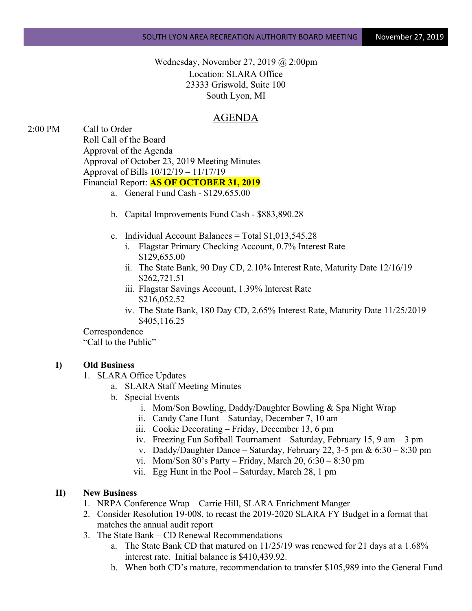Wednesday, November 27, 2019 @ 2:00pm Location: SLARA Office 23333 Griswold, Suite 100 South Lyon, MI

## AGENDA

2:00 PM Call to Order Roll Call of the Board Approval of the Agenda Approval of October 23, 2019 Meeting Minutes Approval of Bills 10/12/19 – 11/17/19 Financial Report: **AS OF OCTOBER 31, 2019**

- a. General Fund Cash \$129,655.00
- b. Capital Improvements Fund Cash \$883,890.28
- c. Individual Account Balances = Total  $$1,013,545.28$ 
	- i. Flagstar Primary Checking Account, 0.7% Interest Rate \$129,655.00
	- ii. The State Bank, 90 Day CD, 2.10% Interest Rate, Maturity Date 12/16/19 \$262,721.51
	- iii. Flagstar Savings Account, 1.39% Interest Rate \$216,052.52
	- iv. The State Bank, 180 Day CD, 2.65% Interest Rate, Maturity Date 11/25/2019 \$405,116.25

Correspondence "Call to the Public"

## **I) Old Business**

- 1. SLARA Office Updates
	- a. SLARA Staff Meeting Minutes
	- b. Special Events
		- i. Mom/Son Bowling, Daddy/Daughter Bowling & Spa Night Wrap
		- ii. Candy Cane Hunt Saturday, December 7, 10 am
		- iii. Cookie Decorating Friday, December 13, 6 pm
		- iv. Freezing Fun Softball Tournament Saturday, February 15, 9 am 3 pm
		- v. Daddy/Daughter Dance Saturday, February 22, 3-5 pm &  $6:30 8:30$  pm
		- vi. Mom/Son  $80$ 's Party Friday, March  $20, 6:30 8:30$  pm
		- vii. Egg Hunt in the Pool Saturday, March 28, 1 pm

## **II) New Business**

- 1. NRPA Conference Wrap Carrie Hill, SLARA Enrichment Manger
- 2. Consider Resolution 19-008, to recast the 2019-2020 SLARA FY Budget in a format that matches the annual audit report
- 3. The State Bank CD Renewal Recommendations
	- a. The State Bank CD that matured on 11/25/19 was renewed for 21 days at a 1.68% interest rate. Initial balance is \$410,439.92.
	- b. When both CD's mature, recommendation to transfer \$105,989 into the General Fund